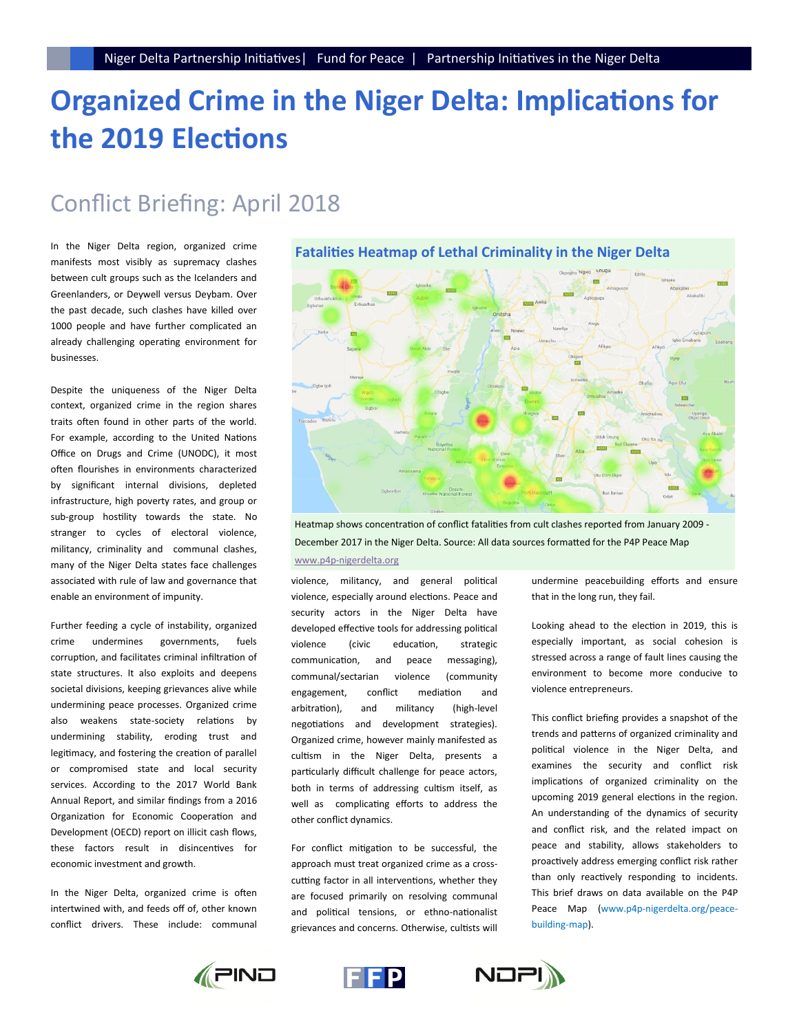# **Organized Crime in the Niger Delta: Implications for the 2019 Elections**

## Conflict Briefing: April 2018

In the Niger Delta region, organized crime manifests most visibly as supremacy clashes between cult groups such as the Icelanders and Greenlanders, or Deywell versus Deybam. Over the past decade, such clashes have killed over 1000 people and have further complicated an already challenging operating environment for businesses.

Despite the uniqueness of the Niger Delta context, organized crime in the region shares traits often found in other parts of the world. For example, according to the United Nations Office on Drugs and Crime (UNODC), it most often flourishes in environments characterized by significant internal divisions, depleted infrastructure, high poverty rates, and group or sub-group hostility towards the state. No stranger to cycles of electoral violence, militancy, criminality and communal clashes, many of the Niger Delta states face challenges associated with rule of law and governance that enable an environment of impunity.

Further feeding a cycle of instability, organized crime undermines governments, fuels corruption, and facilitates criminal infiltration of state structures. It also exploits and deepens societal divisions, keeping grievances alive while undermining peace processes. Organized crime also weakens state-society relations by undermining stability, eroding trust and legitimacy, and fostering the creation of parallel or compromised state and local security services. According to the 2017 World Bank Annual Report, and similar findings from a 2016 Organization for Economic Cooperation and Development (OECD) report on illicit cash flows, these factors result in disincentives for economic investment and growth.

In the Niger Delta, organized crime is often intertwined with, and feeds off of, other known conflict drivers. These include: communal

**Fatalities Heatmap of Lethal Criminality in the Niger Delta**



Heatmap shows concentration of conflict fatalities from cult clashes reported from January 2009 - December 2017 in the Niger Delta. Source: All data sources formatted for the P4P Peace Map www.p4p-nigerdelta.org

violence, militancy, and general political violence, especially around elections. Peace and security actors in the Niger Delta have developed effective tools for addressing political violence (civic education, strategic communication, and peace messaging), communal/sectarian violence (community engagement, conflict mediation and arbitration), and militancy (high-level negotiations and development strategies). Organized crime, however mainly manifested as cultism in the Niger Delta, presents a particularly difficult challenge for peace actors, both in terms of addressing cultism itself, as well as complicating efforts to address the other conflict dynamics.

For conflict mitigation to be successful, the approach must treat organized crime as a crosscutting factor in all interventions, whether they are focused primarily on resolving communal and political tensions, or ethno-nationalist grievances and concerns. Otherwise, cultists will

undermine peacebuilding efforts and ensure that in the long run, they fail.

Looking ahead to the election in 2019, this is especially important, as social cohesion is stressed across a range of fault lines causing the environment to become more conducive to violence entrepreneurs.

This conflict briefing provides a snapshot of the trends and patterns of organized criminality and political violence in the Niger Delta, and examines the security and conflict risk implications of organized criminality on the upcoming 2019 general elections in the region. An understanding of the dynamics of security and conflict risk, and the related impact on peace and stability, allows stakeholders to proactively address emerging conflict risk rather than only reactively responding to incidents. This brief draws on data available on the P4P Peace Map (www.p4p-nigerdelta.org/peacebuilding-map).





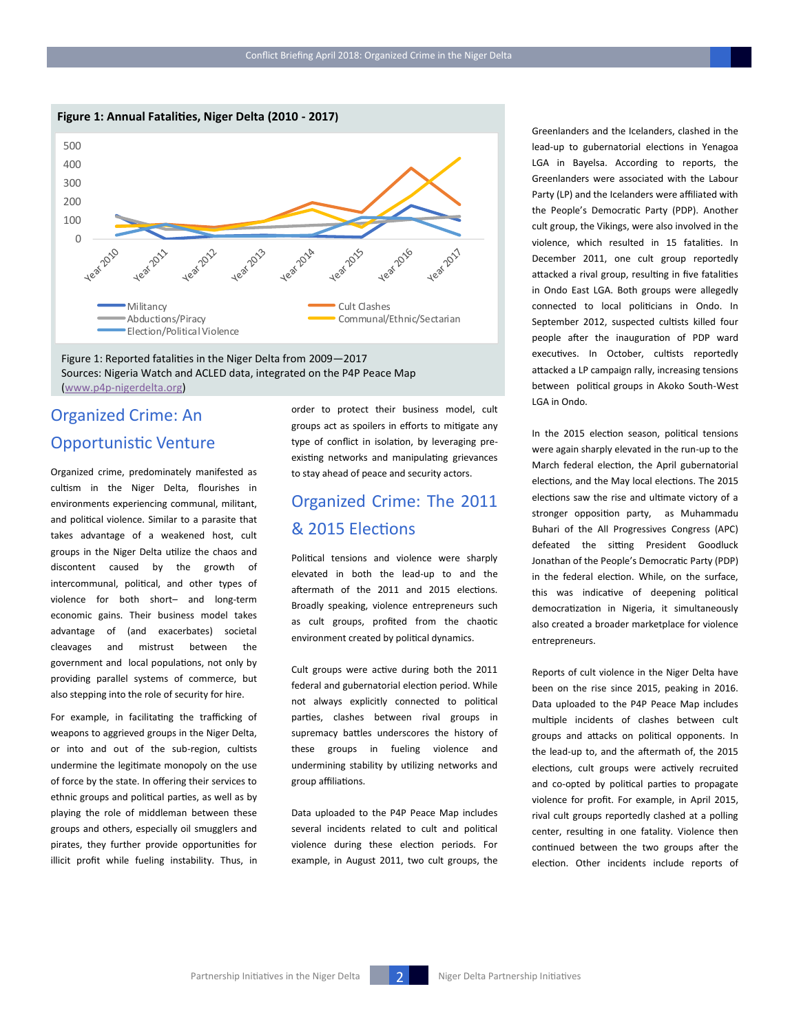



#### Figure 1: Reported fatalities in the Niger Delta from 2009—2017 Sources: Nigeria Watch and ACLED data, integrated on the P4P Peace Map (www.p4p-[nigerdelta.org\)](http://www.p4p-nigerdelta.org)

### Organized Crime: An Opportunistic Venture

Organized crime, predominately manifested as cultism in the Niger Delta, flourishes in environments experiencing communal, militant, and political violence. Similar to a parasite that takes advantage of a weakened host, cult groups in the Niger Delta utilize the chaos and discontent caused by the growth of intercommunal, political, and other types of violence for both short– and long-term economic gains. Their business model takes advantage of (and exacerbates) societal cleavages and mistrust between the government and local populations, not only by providing parallel systems of commerce, but also stepping into the role of security for hire.

For example, in facilitating the trafficking of weapons to aggrieved groups in the Niger Delta, or into and out of the sub-region, cultists undermine the legitimate monopoly on the use of force by the state. In offering their services to ethnic groups and political parties, as well as by playing the role of middleman between these groups and others, especially oil smugglers and pirates, they further provide opportunities for illicit profit while fueling instability. Thus, in order to protect their business model, cult groups act as spoilers in efforts to mitigate any type of conflict in isolation, by leveraging preexisting networks and manipulating grievances to stay ahead of peace and security actors.

### Organized Crime: The 2011 & 2015 Elections

Political tensions and violence were sharply elevated in both the lead-up to and the aftermath of the 2011 and 2015 elections. Broadly speaking, violence entrepreneurs such as cult groups, profited from the chaotic environment created by political dynamics.

Cult groups were active during both the 2011 federal and gubernatorial election period. While not always explicitly connected to political parties, clashes between rival groups in supremacy battles underscores the history of these groups in fueling violence and undermining stability by utilizing networks and group affiliations.

Data uploaded to the P4P Peace Map includes several incidents related to cult and political violence during these election periods. For example, in August 2011, two cult groups, the

Greenlanders and the Icelanders, clashed in the lead-up to gubernatorial elections in Yenagoa LGA in Bayelsa. According to reports, the Greenlanders were associated with the Labour Party (LP) and the Icelanders were affiliated with the People's Democratic Party (PDP). Another cult group, the Vikings, were also involved in the violence, which resulted in 15 fatalities. In December 2011, one cult group reportedly attacked a rival group, resulting in five fatalities in Ondo East LGA. Both groups were allegedly connected to local politicians in Ondo. In September 2012, suspected cultists killed four people after the inauguration of PDP ward executives. In October, cultists reportedly attacked a LP campaign rally, increasing tensions between political groups in Akoko South-West LGA in Ondo.

In the 2015 election season, political tensions were again sharply elevated in the run-up to the March federal election, the April gubernatorial elections, and the May local elections. The 2015 elections saw the rise and ultimate victory of a stronger opposition party, as Muhammadu Buhari of the All Progressives Congress (APC) defeated the sitting President Goodluck Jonathan of the People's Democratic Party (PDP) in the federal election. While, on the surface, this was indicative of deepening political democratization in Nigeria, it simultaneously also created a broader marketplace for violence entrepreneurs.

Reports of cult violence in the Niger Delta have been on the rise since 2015, peaking in 2016. Data uploaded to the P4P Peace Map includes multiple incidents of clashes between cult groups and attacks on political opponents. In the lead-up to, and the aftermath of, the 2015 elections, cult groups were actively recruited and co-opted by political parties to propagate violence for profit. For example, in April 2015, rival cult groups reportedly clashed at a polling center, resulting in one fatality. Violence then continued between the two groups after the election. Other incidents include reports of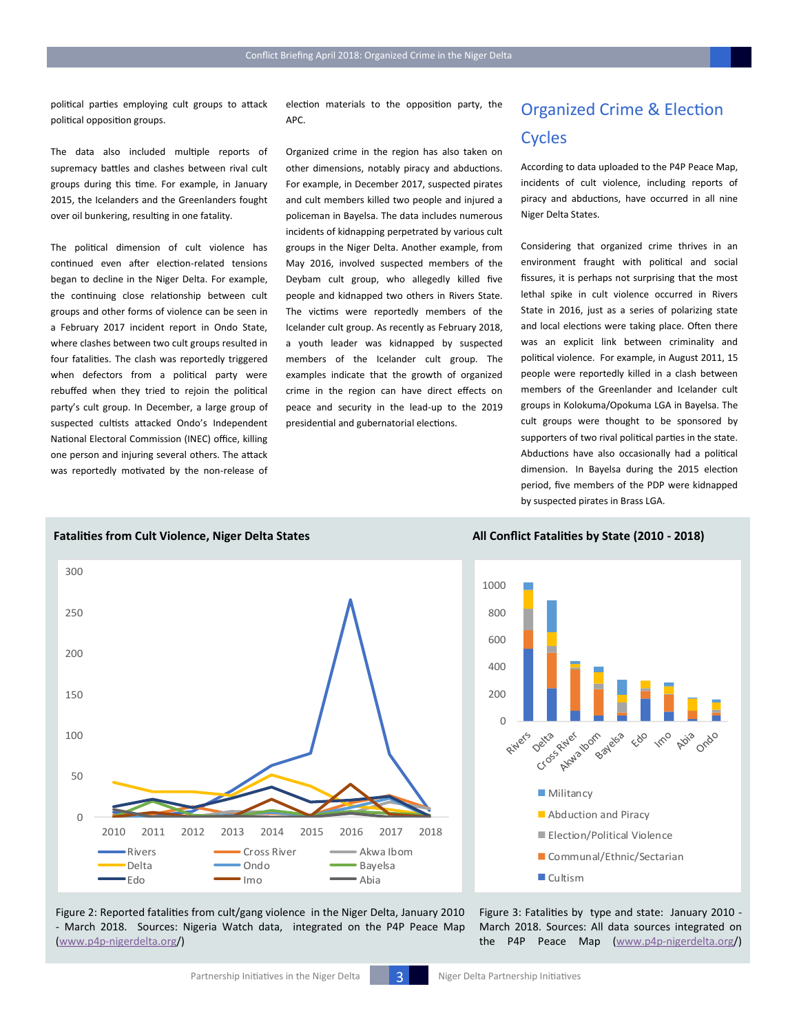political parties employing cult groups to attack political opposition groups.

The data also included multiple reports of supremacy battles and clashes between rival cult groups during this time. For example, in January 2015, the Icelanders and the Greenlanders fought over oil bunkering, resulting in one fatality.

The political dimension of cult violence has continued even after election-related tensions began to decline in the Niger Delta. For example, the continuing close relationship between cult groups and other forms of violence can be seen in a February 2017 incident report in Ondo State, where clashes between two cult groups resulted in four fatalities. The clash was reportedly triggered when defectors from a political party were rebuffed when they tried to rejoin the political party's cult group. In December, a large group of suspected cultists attacked Ondo's Independent National Electoral Commission (INEC) office, killing one person and injuring several others. The attack was reportedly motivated by the non-release of

election materials to the opposition party, the APC.

Organized crime in the region has also taken on other dimensions, notably piracy and abductions. For example, in December 2017, suspected pirates and cult members killed two people and injured a policeman in Bayelsa. The data includes numerous incidents of kidnapping perpetrated by various cult groups in the Niger Delta. Another example, from May 2016, involved suspected members of the Deybam cult group, who allegedly killed five people and kidnapped two others in Rivers State. The victims were reportedly members of the Icelander cult group. As recently as February 2018, a youth leader was kidnapped by suspected members of the Icelander cult group. The examples indicate that the growth of organized crime in the region can have direct effects on peace and security in the lead-up to the 2019 presidential and gubernatorial elections.

### Organized Crime & Election Cycles

According to data uploaded to the P4P Peace Map, incidents of cult violence, including reports of piracy and abductions, have occurred in all nine Niger Delta States.

Considering that organized crime thrives in an environment fraught with political and social fissures, it is perhaps not surprising that the most lethal spike in cult violence occurred in Rivers State in 2016, just as a series of polarizing state and local elections were taking place. Often there was an explicit link between criminality and political violence. For example, in August 2011, 15 people were reportedly killed in a clash between members of the Greenlander and Icelander cult groups in Kolokuma/Opokuma LGA in Bayelsa. The cult groups were thought to be sponsored by supporters of two rival political parties in the state. Abductions have also occasionally had a political dimension. In Bayelsa during the 2015 election period, five members of the PDP were kidnapped by suspected pirates in Brass LGA.

#### **Fatalities from Cult Violence, Niger Delta States All Conflict Fatalities by State (2010 - 2018)**





Figure 2: Reported fatalities from cult/gang violence in the Niger Delta, January 2010 - March 2018. Sources: Nigeria Watch data, integrated on the P4P Peace Map (www.p4p-[nigerdelta.org/\)](http://www.p4p-nigerdelta.org)

Figure 3: Fatalities by type and state: January 2010 - March 2018. Sources: All data sources integrated on the P4P Peace Map (www.p4p-[nigerdelta.org/\)](http://www.p4p-nigerdelta.org)